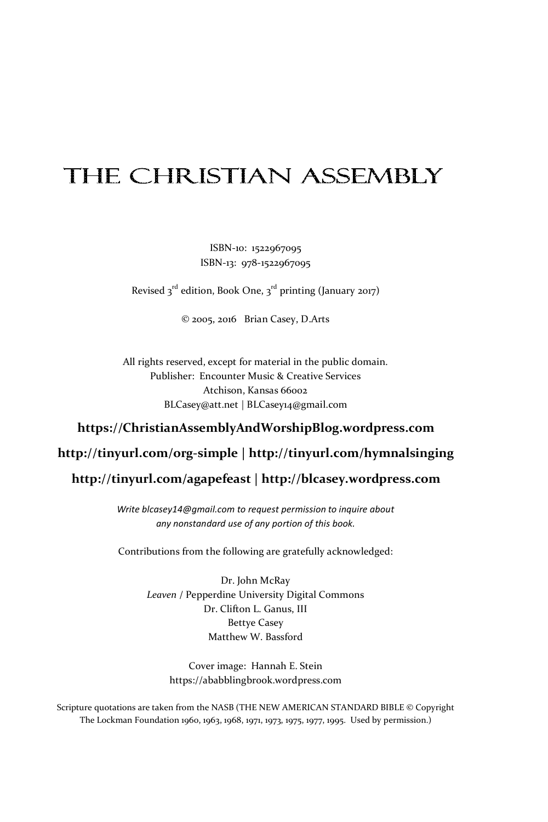# **THE CHRISTIAN ASSEMBLY**

ISBN-10: 1522967095 ISBN-13: 978-1522967095

Revised 3<sup>rd</sup> edition, Book One, 3<sup>rd</sup> printing (January 2017)

© 2005, 2016 Brian Casey, D.Arts

All rights reserved, except for material in the public domain. Publisher: Encounter Music & Creative Services Atchison, Kansas 66002 BLCasey@att.net | BLCasey14@gmail.com

#### **https://ChristianAssemblyAndWorshipBlog.wordpress.com**

#### **http://tinyurl.com/org-simple | http://tinyurl.com/hymnalsinging**

#### **http://tinyurl.com/agapefeast | http://blcasey.wordpress.com**

*Write blcasey14@gmail.com to request permission to inquire about any nonstandard use of any portion of this book.* 

Contributions from the following are gratefully acknowledged:

Dr. John McRay *Leaven* / Pepperdine University Digital Commons Dr. Clifton L. Ganus, III Bettye Casey Matthew W. Bassford

> Cover image: Hannah E. Stein https://ababblingbrook.wordpress.com

Scripture quotations are taken from the NASB (THE NEW AMERICAN STANDARD BIBLE © Copyright The Lockman Foundation 1960, 1963, 1968, 1971, 1973, 1975, 1977, 1995. Used by permission.)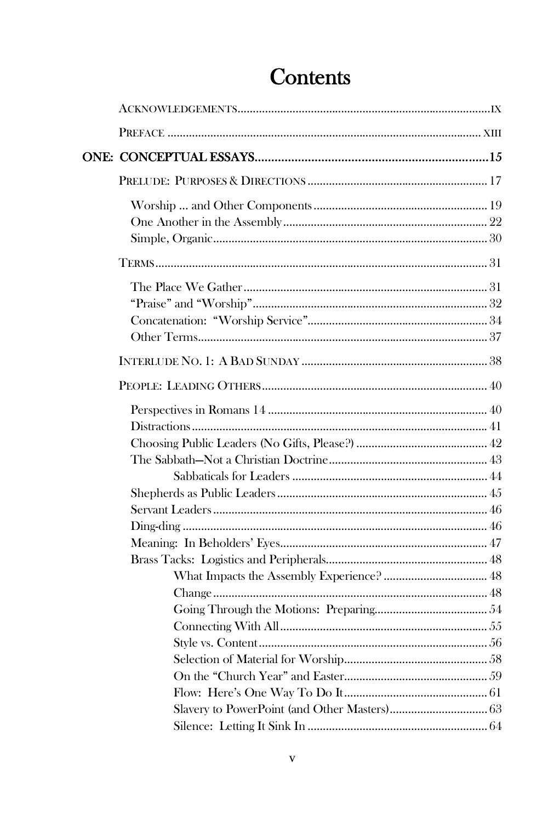# Contents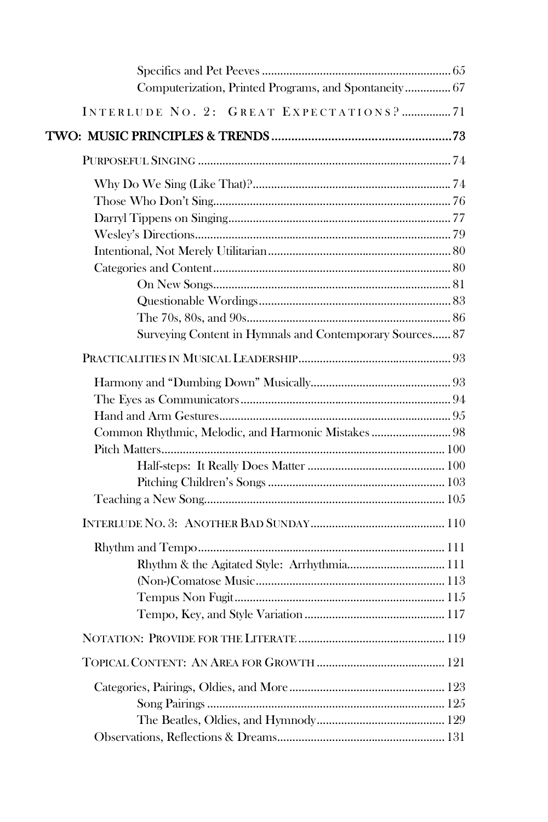| Computerization, Printed Programs, and Spontaneity 67    |  |
|----------------------------------------------------------|--|
| INTERLUDE NO. 2: GREAT EXPECTATIONS? 71                  |  |
|                                                          |  |
|                                                          |  |
|                                                          |  |
|                                                          |  |
|                                                          |  |
|                                                          |  |
|                                                          |  |
|                                                          |  |
|                                                          |  |
|                                                          |  |
|                                                          |  |
| Surveying Content in Hymnals and Contemporary Sources 87 |  |
|                                                          |  |
|                                                          |  |
|                                                          |  |
|                                                          |  |
| Common Rhythmic, Melodic, and Harmonic Mistakes  98      |  |
|                                                          |  |
|                                                          |  |
|                                                          |  |
|                                                          |  |
|                                                          |  |
|                                                          |  |
| Rhythm & the Agitated Style: Arrhythmia 111              |  |
|                                                          |  |
|                                                          |  |
|                                                          |  |
|                                                          |  |
|                                                          |  |
|                                                          |  |
|                                                          |  |
|                                                          |  |
|                                                          |  |
|                                                          |  |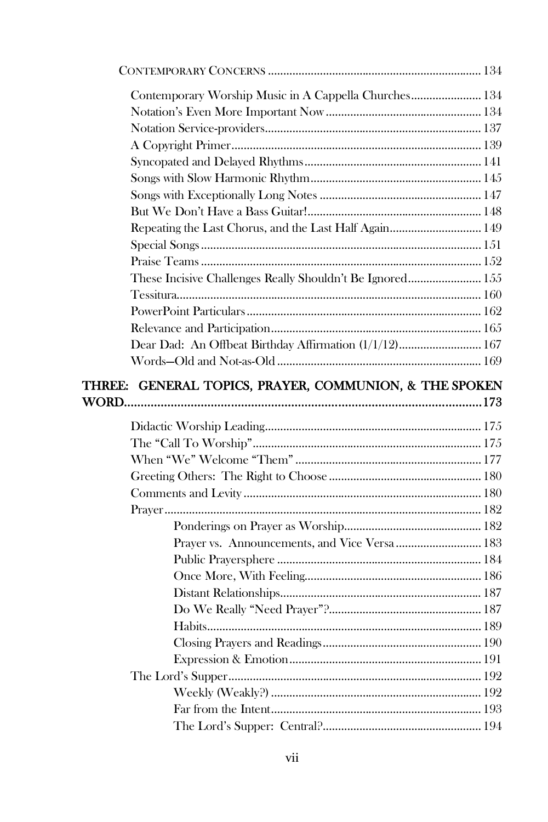| Contemporary Worship Music in A Cappella Churches 134     |
|-----------------------------------------------------------|
|                                                           |
|                                                           |
|                                                           |
|                                                           |
|                                                           |
|                                                           |
|                                                           |
| Repeating the Last Chorus, and the Last Half Again 149    |
|                                                           |
|                                                           |
| These Incisive Challenges Really Shouldn't Be Ignored 155 |
|                                                           |
|                                                           |
|                                                           |
| Dear Dad: An Offbeat Birthday Affirmation (1/1/12) 167    |
|                                                           |
| THREE: GENERAL TOPICS, PRAYER, COMMUNION, & THE SPOKEN    |
|                                                           |
|                                                           |
|                                                           |
|                                                           |
|                                                           |
|                                                           |
|                                                           |
|                                                           |
| Prayer vs. Announcements, and Vice Versa  183             |
|                                                           |
|                                                           |
|                                                           |
|                                                           |
|                                                           |
|                                                           |
|                                                           |
|                                                           |
|                                                           |
|                                                           |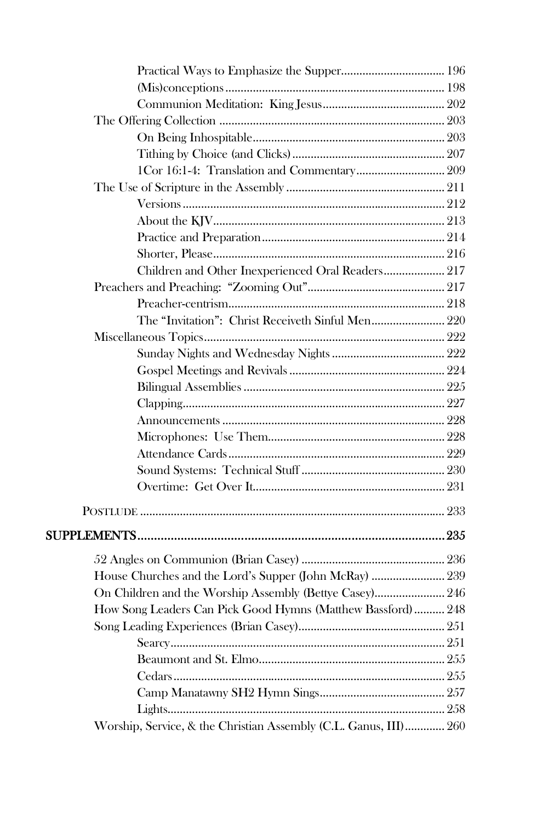| 1Cor 16:1-4: Translation and Commentary 209                      |  |
|------------------------------------------------------------------|--|
|                                                                  |  |
|                                                                  |  |
|                                                                  |  |
|                                                                  |  |
|                                                                  |  |
| Children and Other Inexperienced Oral Readers 217                |  |
|                                                                  |  |
|                                                                  |  |
| The "Invitation": Christ Receiveth Sinful Men 220                |  |
|                                                                  |  |
|                                                                  |  |
|                                                                  |  |
|                                                                  |  |
|                                                                  |  |
|                                                                  |  |
|                                                                  |  |
|                                                                  |  |
|                                                                  |  |
|                                                                  |  |
|                                                                  |  |
|                                                                  |  |
|                                                                  |  |
|                                                                  |  |
| House Churches and the Lord's Supper (John McRay)  239           |  |
| On Children and the Worship Assembly (Bettye Casey) 246          |  |
| How Song Leaders Can Pick Good Hymns (Matthew Bassford)  248     |  |
|                                                                  |  |
|                                                                  |  |
|                                                                  |  |
|                                                                  |  |
|                                                                  |  |
|                                                                  |  |
| Worship, Service, & the Christian Assembly (C.L. Ganus, III) 260 |  |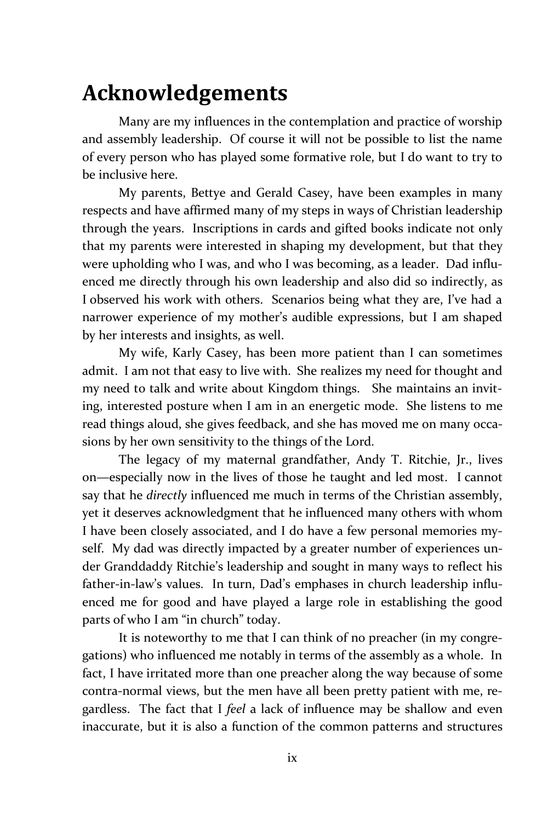## **Acknowledgements**

Many are my influences in the contemplation and practice of worship and assembly leadership. Of course it will not be possible to list the name of every person who has played some formative role, but I do want to try to be inclusive here.

My parents, Bettye and Gerald Casey, have been examples in many respects and have affirmed many of my steps in ways of Christian leadership through the years. Inscriptions in cards and gifted books indicate not only that my parents were interested in shaping my development, but that they were upholding who I was, and who I was becoming, as a leader. Dad influenced me directly through his own leadership and also did so indirectly, as I observed his work with others. Scenarios being what they are, I've had a narrower experience of my mother's audible expressions, but I am shaped by her interests and insights, as well.

My wife, Karly Casey, has been more patient than I can sometimes admit. I am not that easy to live with. She realizes my need for thought and my need to talk and write about Kingdom things. She maintains an inviting, interested posture when I am in an energetic mode. She listens to me read things aloud, she gives feedback, and she has moved me on many occasions by her own sensitivity to the things of the Lord.

The legacy of my maternal grandfather, Andy T. Ritchie, Jr., lives on—especially now in the lives of those he taught and led most. I cannot say that he *directly* influenced me much in terms of the Christian assembly, yet it deserves acknowledgment that he influenced many others with whom I have been closely associated, and I do have a few personal memories myself. My dad was directly impacted by a greater number of experiences under Granddaddy Ritchie's leadership and sought in many ways to reflect his father-in-law's values. In turn, Dad's emphases in church leadership influenced me for good and have played a large role in establishing the good parts of who I am "in church" today.

It is noteworthy to me that I can think of no preacher (in my congregations) who influenced me notably in terms of the assembly as a whole. In fact, I have irritated more than one preacher along the way because of some contra-normal views, but the men have all been pretty patient with me, regardless. The fact that I *feel* a lack of influence may be shallow and even inaccurate, but it is also a function of the common patterns and structures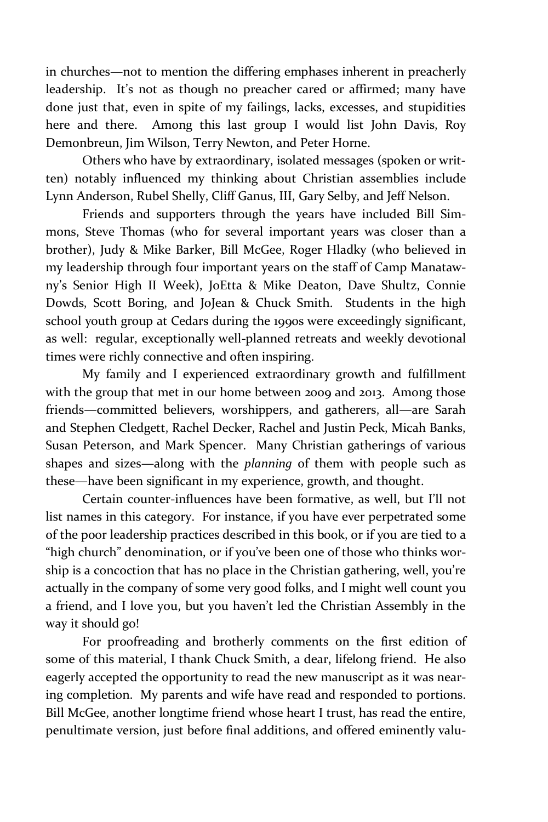in churches—not to mention the differing emphases inherent in preacherly leadership. It's not as though no preacher cared or affirmed; many have done just that, even in spite of my failings, lacks, excesses, and stupidities here and there. Among this last group I would list John Davis, Roy Demonbreun, Jim Wilson, Terry Newton, and Peter Horne.

Others who have by extraordinary, isolated messages (spoken or written) notably influenced my thinking about Christian assemblies include Lynn Anderson, Rubel Shelly, Cliff Ganus, III, Gary Selby, and Jeff Nelson.

Friends and supporters through the years have included Bill Simmons, Steve Thomas (who for several important years was closer than a brother), Judy & Mike Barker, Bill McGee, Roger Hladky (who believed in my leadership through four important years on the staff of Camp Manatawny's Senior High II Week), JoEtta & Mike Deaton, Dave Shultz, Connie Dowds, Scott Boring, and JoJean & Chuck Smith. Students in the high school youth group at Cedars during the 1990s were exceedingly significant, as well: regular, exceptionally well-planned retreats and weekly devotional times were richly connective and often inspiring.

My family and I experienced extraordinary growth and fulfillment with the group that met in our home between 2009 and 2013. Among those friends—committed believers, worshippers, and gatherers, all—are Sarah and Stephen Cledgett, Rachel Decker, Rachel and Justin Peck, Micah Banks, Susan Peterson, and Mark Spencer. Many Christian gatherings of various shapes and sizes—along with the *planning* of them with people such as these—have been significant in my experience, growth, and thought.

Certain counter-influences have been formative, as well, but I'll not list names in this category. For instance, if you have ever perpetrated some of the poor leadership practices described in this book, or if you are tied to a "high church" denomination, or if you've been one of those who thinks worship is a concoction that has no place in the Christian gathering, well, you're actually in the company of some very good folks, and I might well count you a friend, and I love you, but you haven't led the Christian Assembly in the way it should go!

For proofreading and brotherly comments on the first edition of some of this material, I thank Chuck Smith, a dear, lifelong friend. He also eagerly accepted the opportunity to read the new manuscript as it was nearing completion. My parents and wife have read and responded to portions. Bill McGee, another longtime friend whose heart I trust, has read the entire, penultimate version, just before final additions, and offered eminently valu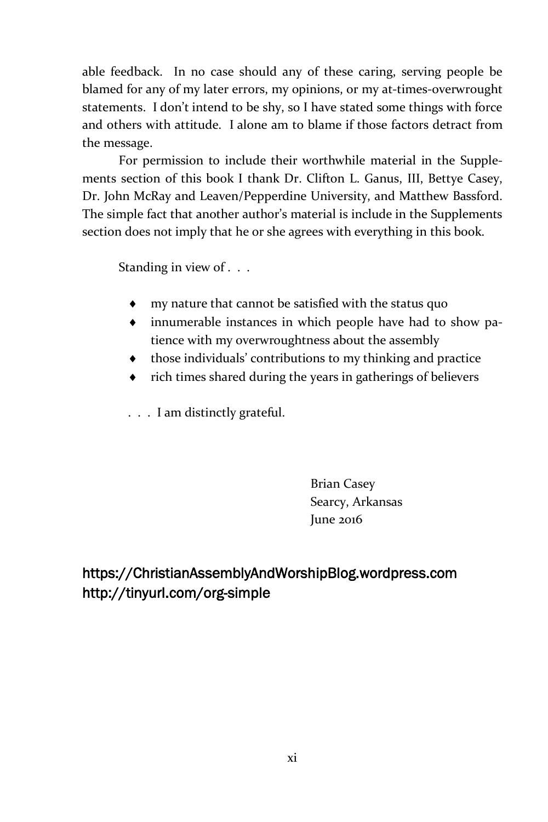able feedback. In no case should any of these caring, serving people be blamed for any of my later errors, my opinions, or my at-times-overwrought statements. I don't intend to be shy, so I have stated some things with force and others with attitude. I alone am to blame if those factors detract from the message.

For permission to include their worthwhile material in the Supplements section of this book I thank Dr. Clifton L. Ganus, III, Bettye Casey, Dr. John McRay and Leaven/Pepperdine University, and Matthew Bassford. The simple fact that another author's material is include in the Supplements section does not imply that he or she agrees with everything in this book.

Standing in view of . . .

- my nature that cannot be satisfied with the status quo
- innumerable instances in which people have had to show patience with my overwroughtness about the assembly
- those individuals' contributions to my thinking and practice
- rich times shared during the years in gatherings of believers
- . . . I am distinctly grateful.

Brian Casey Searcy, Arkansas June 2016

**https://ChristianAssemblyAndWorshipBlog.wordpress.com http://tinyurl.com/org-simple**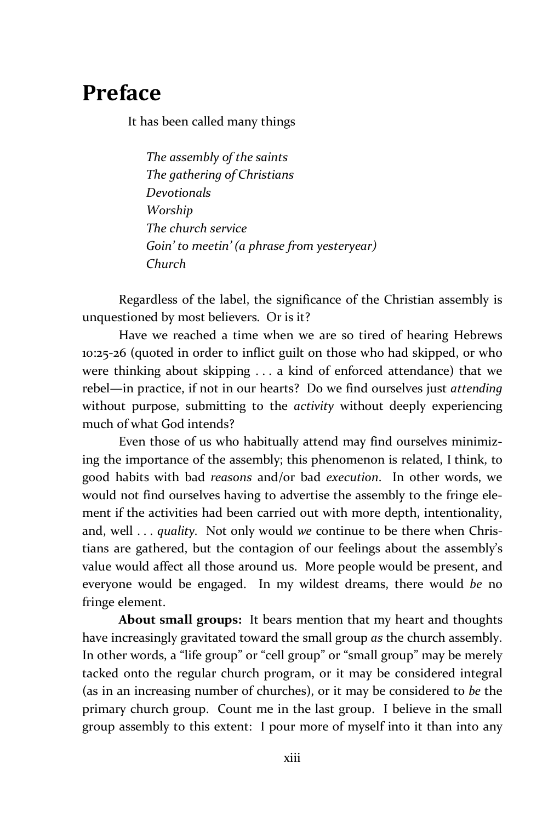## **Preface**

It has been called many things

*The assembly of the saints The gathering of Christians Devotionals Worship The church service Goin' to meetin' (a phrase from yesteryear) Church*

Regardless of the label, the significance of the Christian assembly is unquestioned by most believers. Or is it?

Have we reached a time when we are so tired of hearing Hebrews 10:25-26 (quoted in order to inflict guilt on those who had skipped, or who were thinking about skipping . . . a kind of enforced attendance) that we rebel—in practice, if not in our hearts? Do we find ourselves just *attending* without purpose, submitting to the *activity* without deeply experiencing much of what God intends?

Even those of us who habitually attend may find ourselves minimizing the importance of the assembly; this phenomenon is related, I think, to good habits with bad *reasons* and/or bad *execution*. In other words, we would not find ourselves having to advertise the assembly to the fringe element if the activities had been carried out with more depth, intentionality, and, well . . . *quality.* Not only would *we* continue to be there when Christians are gathered, but the contagion of our feelings about the assembly's value would affect all those around us. More people would be present, and everyone would be engaged. In my wildest dreams, there would *be* no fringe element.

**About small groups:** It bears mention that my heart and thoughts have increasingly gravitated toward the small group *as* the church assembly. In other words, a "life group" or "cell group" or "small group" may be merely tacked onto the regular church program, or it may be considered integral (as in an increasing number of churches), or it may be considered to *be* the primary church group. Count me in the last group. I believe in the small group assembly to this extent: I pour more of myself into it than into any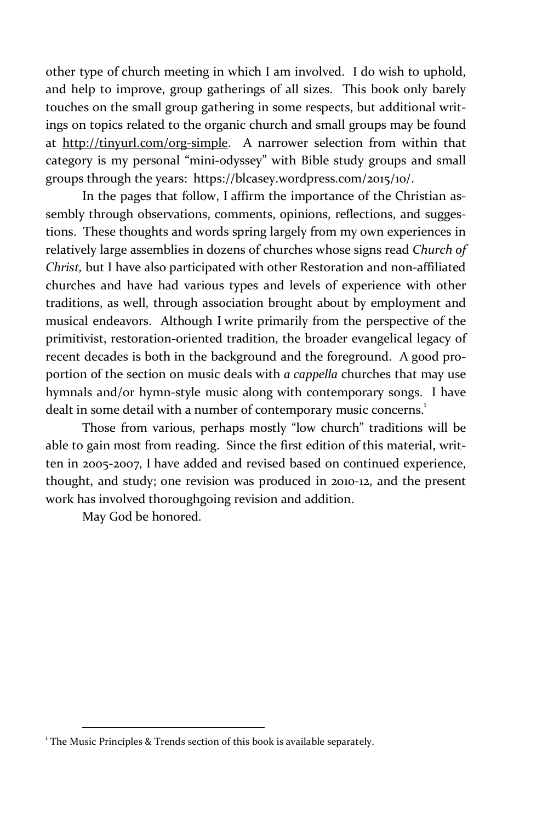other type of church meeting in which I am involved. I do wish to uphold, and help to improve, group gatherings of all sizes. This book only barely touches on the small group gathering in some respects, but additional writings on topics related to the organic church and small groups may be found at http://tinyurl.com/org-simple. A narrower selection from within that category is my personal "mini-odyssey" with Bible study groups and small groups through the years: https://blcasey.wordpress.com/2015/10/.

In the pages that follow, I affirm the importance of the Christian assembly through observations, comments, opinions, reflections, and suggestions. These thoughts and words spring largely from my own experiences in relatively large assemblies in dozens of churches whose signs read *Church of Christ,* but I have also participated with other Restoration and non-affiliated churches and have had various types and levels of experience with other traditions, as well, through association brought about by employment and musical endeavors. Although I write primarily from the perspective of the primitivist, restoration-oriented tradition, the broader evangelical legacy of recent decades is both in the background and the foreground. A good proportion of the section on music deals with *a cappella* churches that may use hymnals and/or hymn-style music along with contemporary songs. I have dealt in some detail with a number of contemporary music concerns.<sup>1</sup>

Those from various, perhaps mostly "low church" traditions will be able to gain most from reading. Since the first edition of this material, written in 2005-2007, I have added and revised based on continued experience, thought, and study; one revision was produced in 2010-12, and the present work has involved thoroughgoing revision and addition.

May God be honored.

l

<sup>&</sup>lt;sup>1</sup> The Music Principles & Trends section of this book is available separately.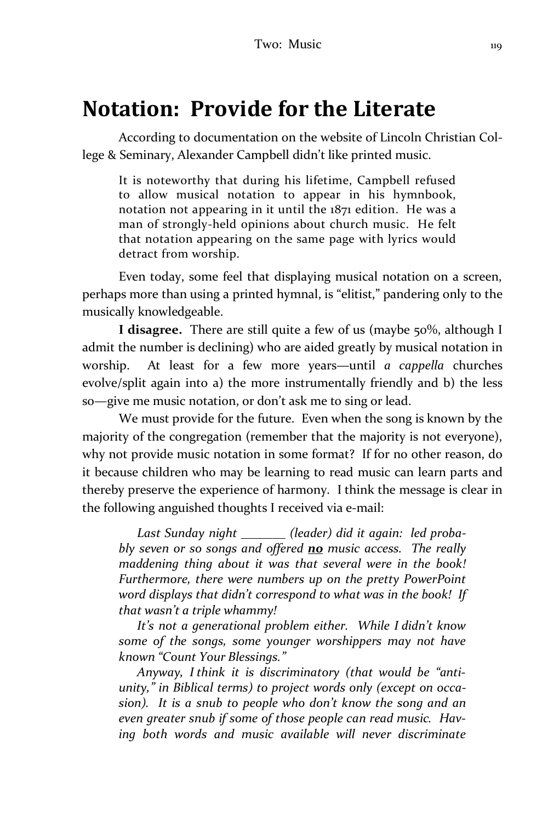## **Notation: Provide for the Literate**

According to documentation on the website of Lincoln Christian College & Seminary, Alexander Campbell didn't like printed music.

It is noteworthy that during his lifetime, Campbell refused to allow musical notation to appear in his hymnbook, notation not appearing in it until the 1871 edition. He was a man of strongly-held opinions about church music. He felt that notation appearing on the same page with lyrics would detract from worship.

Even today, some feel that displaying musical notation on a screen, perhaps more than using a printed hymnal, is "elitist," pandering only to the musically knowledgeable.

**I disagree.** There are still quite a few of us (maybe 50%, although I admit the number is declining) who are aided greatly by musical notation in worship. At least for a few more years—until *a cappella* churches evolve/split again into a) the more instrumentally friendly and b) the less so—give me music notation, or don't ask me to sing or lead.

We must provide for the future. Even when the song is known by the majority of the congregation (remember that the majority is not everyone), why not provide music notation in some format? If for no other reason, do it because children who may be learning to read music can learn parts and thereby preserve the experience of harmony. I think the message is clear in the following anguished thoughts I received via e-mail:

*Last Sunday night \_\_\_\_\_\_\_ (leader) did it again: led probably seven or so songs and offered no music access. The really maddening thing about it was that several were in the book! Furthermore, there were numbers up on the pretty PowerPoint word displays that didn't correspond to what was in the book! If that wasn't a triple whammy!* 

*It's not a generational problem either. While I didn't know some of the songs, some younger worshippers may not have known "Count Your Blessings."*

*Anyway, I think it is discriminatory (that would be "antiunity," in Biblical terms) to project words only (except on occasion). It is a snub to people who don't know the song and an even greater snub if some of those people can read music. Having both words and music available will never discriminate*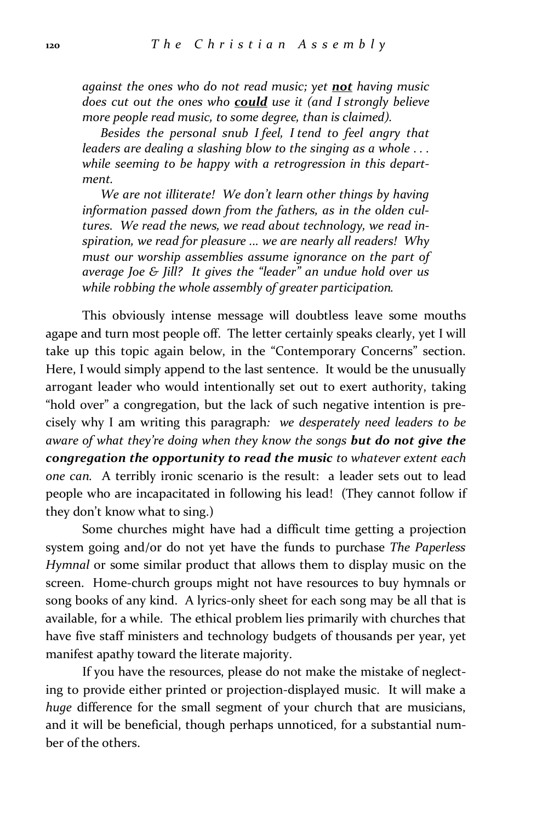*against the ones who do not read music; yet not having music does cut out the ones who could use it (and I strongly believe more people read music, to some degree, than is claimed).*

*Besides the personal snub I feel, I tend to feel angry that leaders are dealing a slashing blow to the singing as a whole . . . while seeming to be happy with a retrogression in this department.*

*We are not illiterate! We don't learn other things by having information passed down from the fathers, as in the olden cultures. We read the news, we read about technology, we read inspiration, we read for pleasure ... we are nearly all readers! Why must our worship assemblies assume ignorance on the part of average Joe & Jill? It gives the "leader" an undue hold over us while robbing the whole assembly of greater participation.* 

This obviously intense message will doubtless leave some mouths agape and turn most people off. The letter certainly speaks clearly, yet I will take up this topic again below, in the "Contemporary Concerns" section. Here, I would simply append to the last sentence. It would be the unusually arrogant leader who would intentionally set out to exert authority, taking "hold over" a congregation, but the lack of such negative intention is precisely why I am writing this paragraph*: we desperately need leaders to be aware of what they're doing when they know the songs but do not give the congregation the opportunity to read the music to whatever extent each one can.* A terribly ironic scenario is the result: a leader sets out to lead people who are incapacitated in following his lead! (They cannot follow if they don't know what to sing.)

Some churches might have had a difficult time getting a projection system going and/or do not yet have the funds to purchase *The Paperless Hymnal* or some similar product that allows them to display music on the screen. Home-church groups might not have resources to buy hymnals or song books of any kind. A lyrics-only sheet for each song may be all that is available, for a while. The ethical problem lies primarily with churches that have five staff ministers and technology budgets of thousands per year, yet manifest apathy toward the literate majority.

If you have the resources, please do not make the mistake of neglecting to provide either printed or projection-displayed music. It will make a *huge* difference for the small segment of your church that are musicians, and it will be beneficial, though perhaps unnoticed, for a substantial number of the others.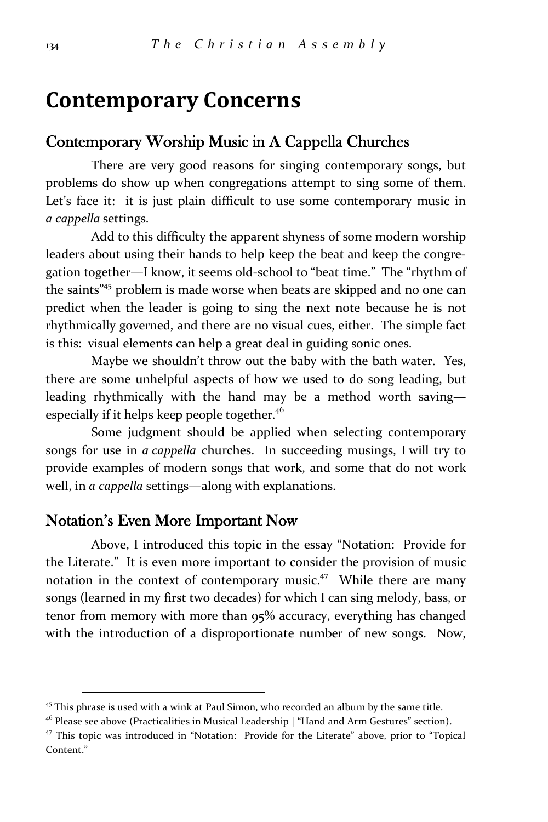# **Contemporary Concerns**

### **Contemporary Worship Music in A Cappella Churches**

There are very good reasons for singing contemporary songs, but problems do show up when congregations attempt to sing some of them. Let's face it: it is just plain difficult to use some contemporary music in *a cappella* settings.

Add to this difficulty the apparent shyness of some modern worship leaders about using their hands to help keep the beat and keep the congregation together—I know, it seems old-school to "beat time." The "rhythm of the saints<sup>"45</sup> problem is made worse when beats are skipped and no one can predict when the leader is going to sing the next note because he is not rhythmically governed, and there are no visual cues, either. The simple fact is this: visual elements can help a great deal in guiding sonic ones.

Maybe we shouldn't throw out the baby with the bath water. Yes, there are some unhelpful aspects of how we used to do song leading, but leading rhythmically with the hand may be a method worth saving especially if it helps keep people together.<sup>46</sup>

Some judgment should be applied when selecting contemporary songs for use in *a cappella* churches. In succeeding musings, I will try to provide examples of modern songs that work, and some that do not work well, in *a cappella* settings—along with explanations.

### **Notation's Even More Important Now**

l

Above, I introduced this topic in the essay "Notation: Provide for the Literate." It is even more important to consider the provision of music notation in the context of contemporary music.<sup>47</sup> While there are many songs (learned in my first two decades) for which I can sing melody, bass, or tenor from memory with more than 95% accuracy, everything has changed with the introduction of a disproportionate number of new songs. Now,

 $45$  This phrase is used with a wink at Paul Simon, who recorded an album by the same title.

 $46$  Please see above (Practicalities in Musical Leadership | "Hand and Arm Gestures" section).

<sup>&</sup>lt;sup>47</sup> This topic was introduced in "Notation: Provide for the Literate" above, prior to "Topical Content."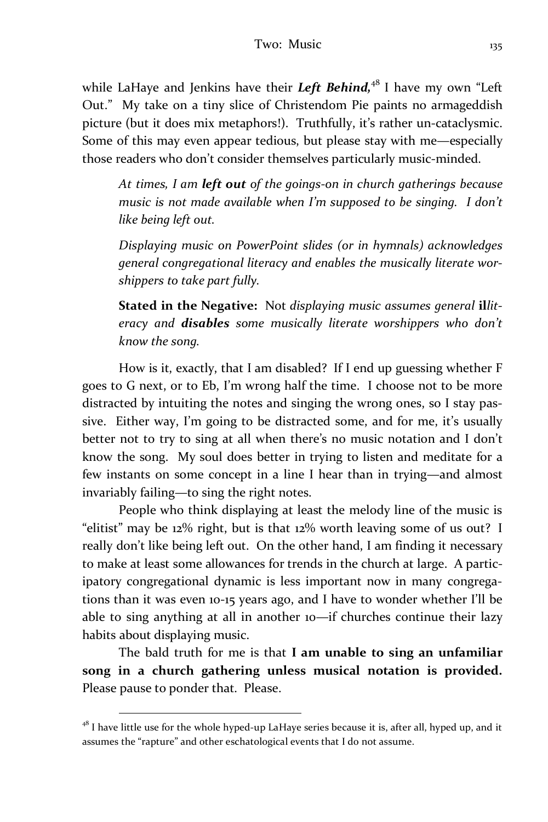while LaHaye and Jenkins have their *Left Behind*,<sup>48</sup> I have my own "Left Out." My take on a tiny slice of Christendom Pie paints no armageddish picture (but it does mix metaphors!). Truthfully, it's rather un-cataclysmic. Some of this may even appear tedious, but please stay with me—especially those readers who don't consider themselves particularly music-minded.

*At times, I am left out of the goings-on in church gatherings because music is not made available when I'm supposed to be singing. I don't like being left out.*

*Displaying music on PowerPoint slides (or in hymnals) acknowledges general congregational literacy and enables the musically literate worshippers to take part fully.*

**Stated in the Negative:**Not *displaying music assumes general* **il***literacy and disables some musically literate worshippers who don't know the song.*

How is it, exactly, that I am disabled? If I end up guessing whether F goes to G next, or to Eb, I'm wrong half the time. I choose not to be more distracted by intuiting the notes and singing the wrong ones, so I stay passive. Either way, I'm going to be distracted some, and for me, it's usually better not to try to sing at all when there's no music notation and I don't know the song. My soul does better in trying to listen and meditate for a few instants on some concept in a line I hear than in trying—and almost invariably failing—to sing the right notes.

People who think displaying at least the melody line of the music is "elitist" may be 12% right, but is that 12% worth leaving some of us out? I really don't like being left out. On the other hand, I am finding it necessary to make at least some allowances for trends in the church at large. A participatory congregational dynamic is less important now in many congregations than it was even 10-15 years ago, and I have to wonder whether I'll be able to sing anything at all in another 10—if churches continue their lazy habits about displaying music.

The bald truth for me is that **I am unable to sing an unfamiliar song in a church gathering unless musical notation is provided.**  Please pause to ponder that. Please.

l

 $48$  I have little use for the whole hyped-up LaHaye series because it is, after all, hyped up, and it assumes the "rapture" and other eschatological events that I do not assume.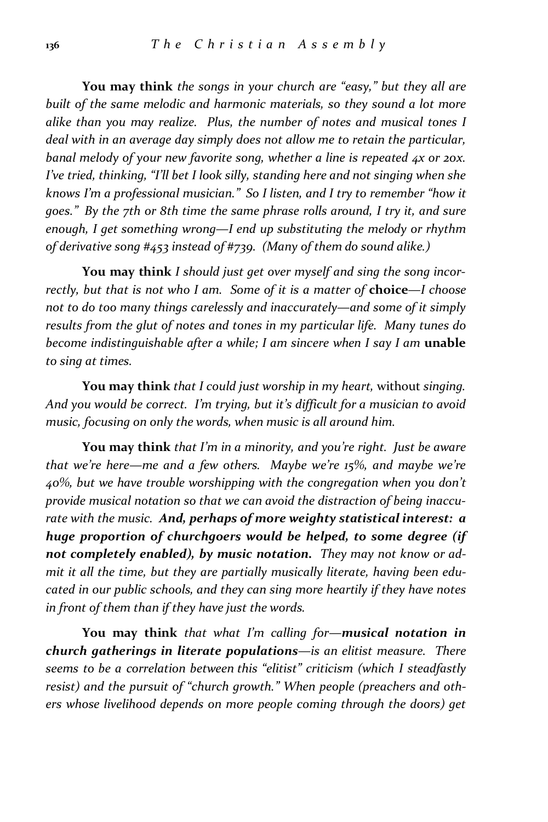**You may think** *the songs in your church are "easy," but they all are built of the same melodic and harmonic materials, so they sound a lot more alike than you may realize. Plus, the number of notes and musical tones I deal with in an average day simply does not allow me to retain the particular, banal melody of your new favorite song, whether a line is repeated 4x or 20x. I've tried, thinking, "I'll bet I look silly, standing here and not singing when she knows I'm a professional musician." So I listen, and I try to remember "how it goes." By the 7th or 8th time the same phrase rolls around, I try it, and sure enough, I get something wrong—I end up substituting the melody or rhythm of derivative song #453 instead of #739. (Many of them do sound alike.)*

**You may think** *I should just get over myself and sing the song incorrectly, but that is not who I am. Some of it is a matter of* **choice***—I choose not to do too many things carelessly and inaccurately—and some of it simply results from the glut of notes and tones in my particular life. Many tunes do become indistinguishable after a while; I am sincere when I say I am* **unable** *to sing at times.*

**You may think** *that I could just worship in my heart,* without *singing. And you would be correct. I'm trying, but it's difficult for a musician to avoid music, focusing on only the words, when music is all around him.*

**You may think** *that I'm in a minority, and you're right. Just be aware that we're here—me and a few others. Maybe we're 15%, and maybe we're 40%, but we have trouble worshipping with the congregation when you don't provide musical notation so that we can avoid the distraction of being inaccurate with the music. And, perhaps of more weighty statistical interest: a huge proportion of churchgoers would be helped, to some degree (if not completely enabled), by music notation. They may not know or admit it all the time, but they are partially musically literate, having been educated in our public schools, and they can sing more heartily if they have notes in front of them than if they have just the words.*

**You may think** *that what I'm calling for—musical notation in church gatherings in literate populations—is an elitist measure. There seems to be a correlation between this "elitist" criticism (which I steadfastly resist) and the pursuit of "church growth." When people (preachers and others whose livelihood depends on more people coming through the doors) get*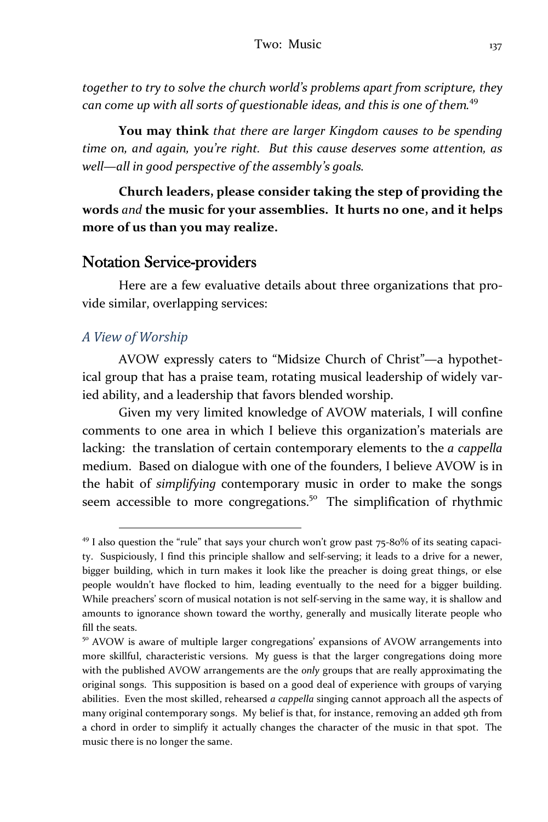*together to try to solve the church world's problems apart from scripture, they can come up with all sorts of questionable ideas, and this is one of them.* 49

**You may think** *that there are larger Kingdom causes to be spending time on, and again, you're right. But this cause deserves some attention, as well—all in good perspective of the assembly's goals.*

**Church leaders, please consider taking the step of providing the words** *and* **the music for your assemblies. It hurts no one, and it helps more of us than you may realize.**

### **Notation Service-providers**

Here are a few evaluative details about three organizations that provide similar, overlapping services:

#### *A View of Worship*

l

AVOW expressly caters to "Midsize Church of Christ"—a hypothetical group that has a praise team, rotating musical leadership of widely varied ability, and a leadership that favors blended worship.

Given my very limited knowledge of AVOW materials, I will confine comments to one area in which I believe this organization's materials are lacking: the translation of certain contemporary elements to the *a cappella* medium. Based on dialogue with one of the founders, I believe AVOW is in the habit of *simplifying* contemporary music in order to make the songs seem accessible to more congregations.<sup>50</sup> The simplification of rhythmic

 $49$  I also question the "rule" that says your church won't grow past 75-80% of its seating capacity. Suspiciously, I find this principle shallow and self-serving; it leads to a drive for a newer, bigger building, which in turn makes it look like the preacher is doing great things, or else people wouldn't have flocked to him, leading eventually to the need for a bigger building. While preachers' scorn of musical notation is not self-serving in the same way, it is shallow and amounts to ignorance shown toward the worthy, generally and musically literate people who fill the seats.

<sup>&</sup>lt;sup>50</sup> AVOW is aware of multiple larger congregations' expansions of AVOW arrangements into more skillful, characteristic versions. My guess is that the larger congregations doing more with the published AVOW arrangements are the *only* groups that are really approximating the original songs. This supposition is based on a good deal of experience with groups of varying abilities. Even the most skilled, rehearsed *a cappella* singing cannot approach all the aspects of many original contemporary songs. My belief is that, for instance, removing an added 9th from a chord in order to simplify it actually changes the character of the music in that spot. The music there is no longer the same.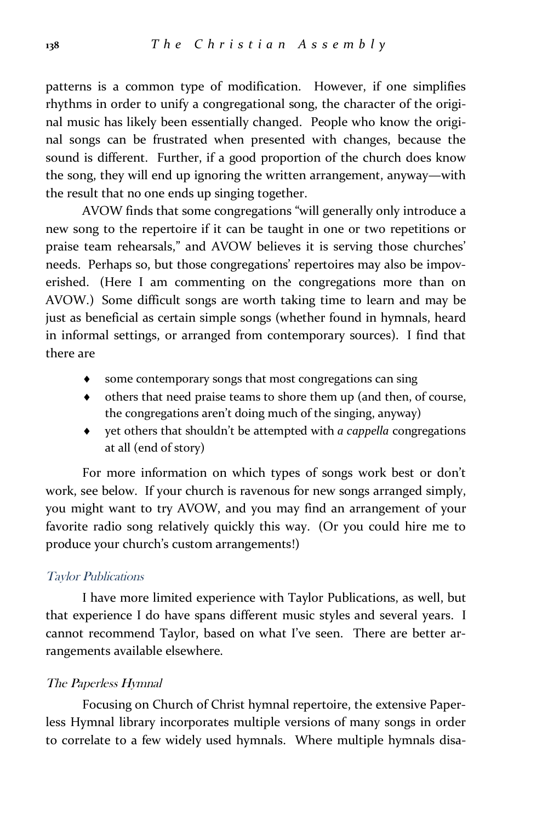patterns is a common type of modification. However, if one simplifies rhythms in order to unify a congregational song, the character of the original music has likely been essentially changed. People who know the original songs can be frustrated when presented with changes, because the sound is different. Further, if a good proportion of the church does know the song, they will end up ignoring the written arrangement, anyway—with the result that no one ends up singing together.

AVOW finds that some congregations "will generally only introduce a new song to the repertoire if it can be taught in one or two repetitions or praise team rehearsals," and AVOW believes it is serving those churches' needs. Perhaps so, but those congregations' repertoires may also be impoverished. (Here I am commenting on the congregations more than on AVOW.) Some difficult songs are worth taking time to learn and may be just as beneficial as certain simple songs (whether found in hymnals, heard in informal settings, or arranged from contemporary sources). I find that there are

- some contemporary songs that most congregations can sing
- others that need praise teams to shore them up (and then, of course, the congregations aren't doing much of the singing, anyway)
- yet others that shouldn't be attempted with *a cappella* congregations at all (end of story)

For more information on which types of songs work best or don't work, see below. If your church is ravenous for new songs arranged simply, you might want to try AVOW, and you may find an arrangement of your favorite radio song relatively quickly this way. (Or you could hire me to produce your church's custom arrangements!)

#### *Taylor Publications*

I have more limited experience with Taylor Publications, as well, but that experience I do have spans different music styles and several years. I cannot recommend Taylor, based on what I've seen. There are better arrangements available elsewhere.

#### *The Paperless Hymnal*

Focusing on Church of Christ hymnal repertoire, the extensive Paperless Hymnal library incorporates multiple versions of many songs in order to correlate to a few widely used hymnals. Where multiple hymnals disa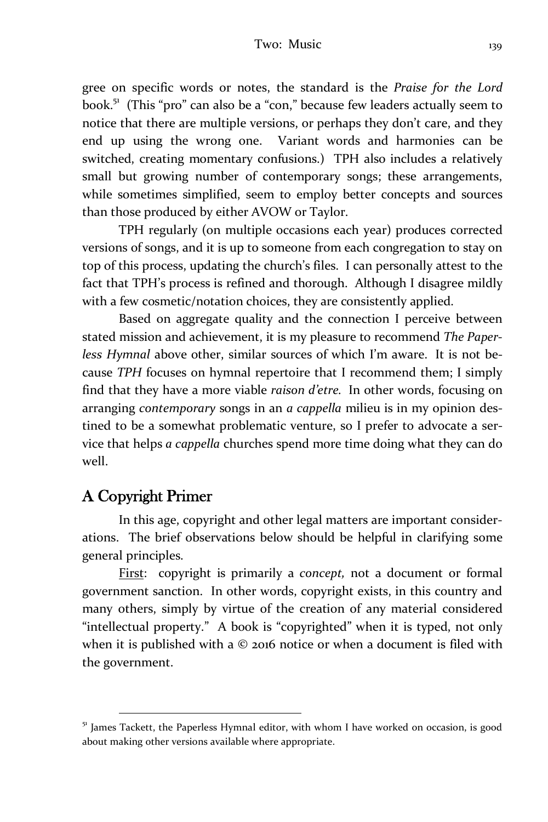gree on specific words or notes, the standard is the *Praise for the Lord* book.<sup>51</sup> (This "pro" can also be a "con," because few leaders actually seem to notice that there are multiple versions, or perhaps they don't care, and they end up using the wrong one. Variant words and harmonies can be switched, creating momentary confusions.) TPH also includes a relatively small but growing number of contemporary songs; these arrangements, while sometimes simplified, seem to employ better concepts and sources than those produced by either AVOW or Taylor.

TPH regularly (on multiple occasions each year) produces corrected versions of songs, and it is up to someone from each congregation to stay on top of this process, updating the church's files. I can personally attest to the fact that TPH's process is refined and thorough. Although I disagree mildly with a few cosmetic/notation choices, they are consistently applied.

Based on aggregate quality and the connection I perceive between stated mission and achievement, it is my pleasure to recommend *The Paperless Hymnal* above other, similar sources of which I'm aware. It is not because *TPH* focuses on hymnal repertoire that I recommend them; I simply find that they have a more viable *raison d'etre.* In other words, focusing on arranging *contemporary* songs in an *a cappella* milieu is in my opinion destined to be a somewhat problematic venture, so I prefer to advocate a service that helps *a cappella* churches spend more time doing what they can do well.

## **A Copyright Primer**

l

In this age, copyright and other legal matters are important considerations. The brief observations below should be helpful in clarifying some general principles.

First: copyright is primarily a *concept,* not a document or formal government sanction. In other words, copyright exists, in this country and many others, simply by virtue of the creation of any material considered "intellectual property." A book is "copyrighted" when it is typed, not only when it is published with a © 2016 notice or when a document is filed with the government.

 $51$  James Tackett, the Paperless Hymnal editor, with whom I have worked on occasion, is good about making other versions available where appropriate.